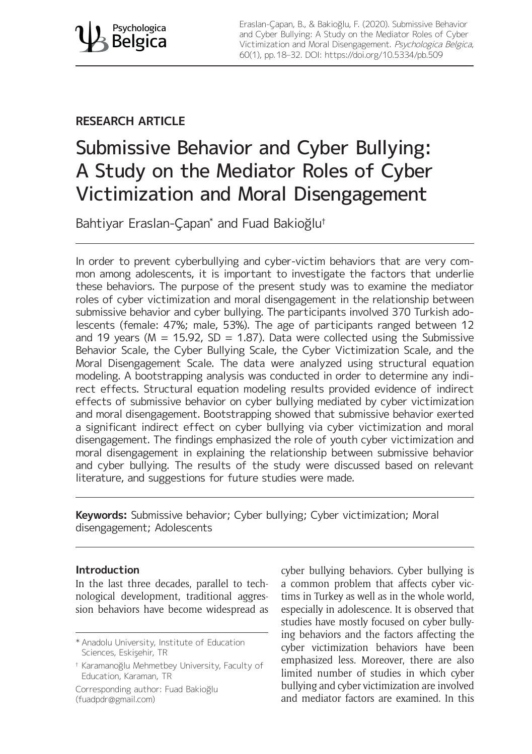Eraslan-Çapan, B., & Bakioğlu, F. (2020). Submissive Behavior and Cyber Bullying: A Study on the Mediator Roles of Cyber Victimization and Moral Disengagement. Psychologica Belgica, 60(1), pp. 18–32. DOI:<https://doi.org/10.5334/pb.509>

## **RESEARCH ARTICLE**

# Submissive Behavior and Cyber Bullying: A Study on the Mediator Roles of Cyber Victimization and Moral Disengagement

Bahtiyar Eraslan-Çapan\* and Fuad Bakioğlu†

In order to prevent cyberbullying and cyber-victim behaviors that are very common among adolescents, it is important to investigate the factors that underlie these behaviors. The purpose of the present study was to examine the mediator roles of cyber victimization and moral disengagement in the relationship between submissive behavior and cyber bullying. The participants involved 370 Turkish adolescents (female: 47%; male, 53%). The age of participants ranged between 12 and 19 years ( $M = 15.92$ , SD = 1.87). Data were collected using the Submissive Behavior Scale, the Cyber Bullying Scale, the Cyber Victimization Scale, and the Moral Disengagement Scale. The data were analyzed using structural equation modeling. A bootstrapping analysis was conducted in order to determine any indirect effects. Structural equation modeling results provided evidence of indirect effects of submissive behavior on cyber bullying mediated by cyber victimization and moral disengagement. Bootstrapping showed that submissive behavior exerted a significant indirect effect on cyber bullying via cyber victimization and moral disengagement. The findings emphasized the role of youth cyber victimization and moral disengagement in explaining the relationship between submissive behavior and cyber bullying. The results of the study were discussed based on relevant literature, and suggestions for future studies were made.

**Keywords:** Submissive behavior; Cyber bullying; Cyber victimization; Moral disengagement; Adolescents

## **Introduction**

In the last three decades, parallel to technological development, traditional aggression behaviors have become widespread as

Corresponding author: Fuad Bakioğlu [\(fuadpdr@gmail.com\)](mailto:fuadpdr@gmail.com)

cyber bullying behaviors. Cyber bullying is a common problem that affects cyber victims in Turkey as well as in the whole world, especially in adolescence. It is observed that studies have mostly focused on cyber bullying behaviors and the factors affecting the cyber victimization behaviors have been emphasized less. Moreover, there are also limited number of studies in which cyber bullying and cyber victimization are involved and mediator factors are examined. In this

<sup>\*</sup> Anadolu University, Institute of Education Sciences, Eskişehir, TR

<sup>†</sup> Karamanoğlu Mehmetbey University, Faculty of Education, Karaman, TR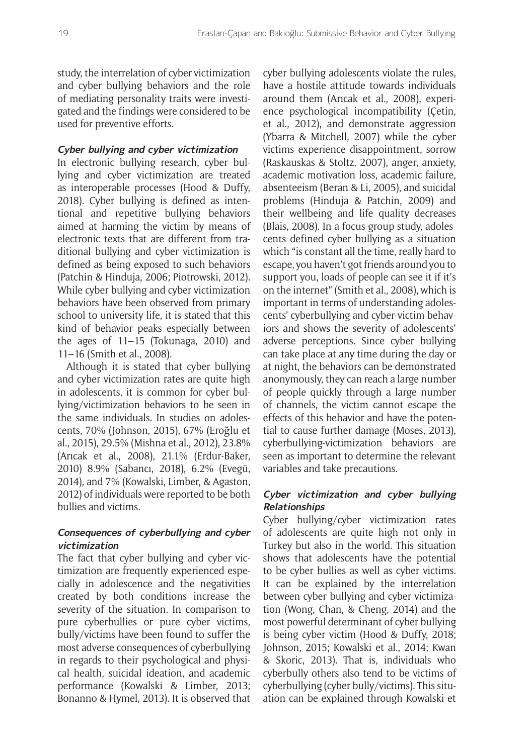study, the interrelation of cyber victimization and cyber bullying behaviors and the role of mediating personality traits were investigated and the findings were considered to be used for preventive efforts.

## **Cyber bullying and cyber victimization**

In electronic bullying research, cyber bullying and cyber victimization are treated as interoperable processes (Hood & Duffy, 2018). Cyber bullying is defined as intentional and repetitive bullying behaviors aimed at harming the victim by means of electronic texts that are different from traditional bullying and cyber victimization is defined as being exposed to such behaviors (Patchin & Hinduja, 2006; Piotrowski, 2012). While cyber bullying and cyber victimization behaviors have been observed from primary school to university life, it is stated that this kind of behavior peaks especially between the ages of 11–15 (Tokunaga, 2010) and 11–16 (Smith et al., 2008).

Although it is stated that cyber bullying and cyber victimization rates are quite high in adolescents, it is common for cyber bullying/victimization behaviors to be seen in the same individuals. In studies on adolescents, 70% (Johnson, 2015), 67% (Eroğlu et al., 2015), 29.5% (Mishna et al., 2012), 23.8% (Arıcak et al., 2008), 21.1% (Erdur-Baker, 2010) 8.9% (Sabancı, 2018), 6.2% (Evegü, 2014), and 7% (Kowalski, Limber, & Agaston, 2012) of individuals were reported to be both bullies and victims.

## **Consequences of cyberbullying and cyber victimization**

The fact that cyber bullying and cyber victimization are frequently experienced especially in adolescence and the negativities created by both conditions increase the severity of the situation. In comparison to pure cyberbullies or pure cyber victims, bully/victims have been found to suffer the most adverse consequences of cyberbullying in regards to their psychological and physical health, suicidal ideation, and academic performance (Kowalski & Limber, 2013; Bonanno & Hymel, 2013). It is observed that cyber bullying adolescents violate the rules, have a hostile attitude towards individuals around them (Arıcak et al., 2008), experience psychological incompatibility (Çetin, et al., 2012), and demonstrate aggression (Ybarra & Mitchell, 2007) while the cyber victims experience disappointment, sorrow (Raskauskas & Stoltz, 2007), anger, anxiety, academic motivation loss, academic failure, absenteeism (Beran & Li, 2005), and suicidal problems (Hinduja & Patchin, 2009) and their wellbeing and life quality decreases (Blais, 2008). In a focus-group study, adolescents defined cyber bullying as a situation which "is constant all the time, really hard to escape, you haven't got friends around you to support you, loads of people can see it if it's on the internet" (Smith et al., 2008), which is important in terms of understanding adolescents' cyberbullying and cyber-victim behaviors and shows the severity of adolescents' adverse perceptions. Since cyber bullying can take place at any time during the day or at night, the behaviors can be demonstrated anonymously, they can reach a large number of people quickly through a large number of channels, the victim cannot escape the effects of this behavior and have the potential to cause further damage (Moses, 2013), cyberbullying-victimization behaviors are seen as important to determine the relevant variables and take precautions.

## **Cyber victimization and cyber bullying Relationships**

Cyber bullying/cyber victimization rates of adolescents are quite high not only in Turkey but also in the world. This situation shows that adolescents have the potential to be cyber bullies as well as cyber victims. It can be explained by the interrelation between cyber bullying and cyber victimization (Wong, Chan, & Cheng, 2014) and the most powerful determinant of cyber bullying is being cyber victim (Hood & Duffy, 2018; Johnson, 2015; Kowalski et al., 2014; Kwan & Skoric, 2013). That is, individuals who cyberbully others also tend to be victims of cyberbullying (cyber bully/victims). This situation can be explained through Kowalski et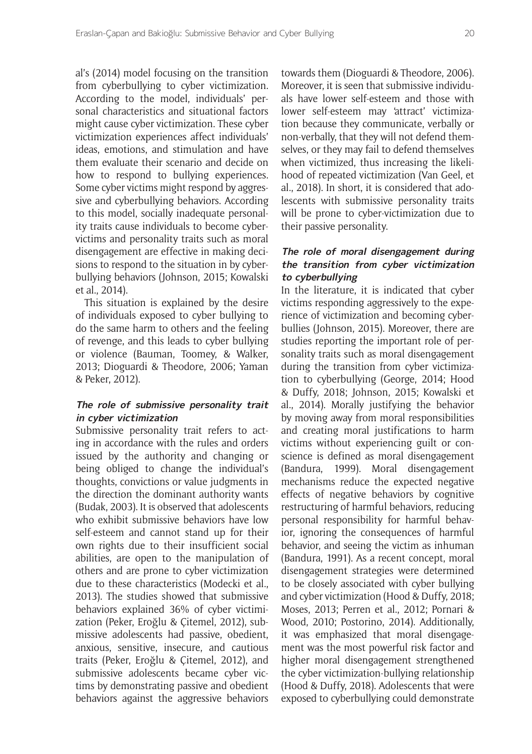al's (2014) model focusing on the transition from cyberbullying to cyber victimization. According to the model, individuals' personal characteristics and situational factors might cause cyber victimization. These cyber victimization experiences affect individuals' ideas, emotions, and stimulation and have them evaluate their scenario and decide on how to respond to bullying experiences. Some cyber victims might respond by aggressive and cyberbullying behaviors. According to this model, socially inadequate personality traits cause individuals to become cybervictims and personality traits such as moral disengagement are effective in making decisions to respond to the situation in by cyberbullying behaviors (Johnson, 2015; Kowalski et al., 2014).

This situation is explained by the desire of individuals exposed to cyber bullying to do the same harm to others and the feeling of revenge, and this leads to cyber bullying or violence (Bauman, Toomey, & Walker, 2013; Dioguardi & Theodore, 2006; Yaman & Peker, 2012).

## **The role of submissive personality trait in cyber victimization**

Submissive personality trait refers to acting in accordance with the rules and orders issued by the authority and changing or being obliged to change the individual's thoughts, convictions or value judgments in the direction the dominant authority wants (Budak, 2003). It is observed that adolescents who exhibit submissive behaviors have low self-esteem and cannot stand up for their own rights due to their insufficient social abilities, are open to the manipulation of others and are prone to cyber victimization due to these characteristics (Modecki et al., 2013). The studies showed that submissive behaviors explained 36% of cyber victimization (Peker, Eroğlu & Çitemel, 2012), submissive adolescents had passive, obedient, anxious, sensitive, insecure, and cautious traits (Peker, Eroğlu & Çitemel, 2012), and submissive adolescents became cyber victims by demonstrating passive and obedient behaviors against the aggressive behaviors

towards them (Dioguardi & Theodore, 2006). Moreover, it is seen that submissive individuals have lower self-esteem and those with lower self-esteem may 'attract' victimization because they communicate, verbally or non-verbally, that they will not defend themselves, or they may fail to defend themselves when victimized, thus increasing the likelihood of repeated victimization (Van Geel, et al., 2018). In short, it is considered that adolescents with submissive personality traits will be prone to cyber-victimization due to their passive personality.

## **The role of moral disengagement during the transition from cyber victimization to cyberbullying**

In the literature, it is indicated that cyber victims responding aggressively to the experience of victimization and becoming cyberbullies (Johnson, 2015). Moreover, there are studies reporting the important role of personality traits such as moral disengagement during the transition from cyber victimization to cyberbullying (George, 2014; Hood & Duffy, 2018; Johnson, 2015; Kowalski et al., 2014). Morally justifying the behavior by moving away from moral responsibilities and creating moral justifications to harm victims without experiencing guilt or conscience is defined as moral disengagement (Bandura, 1999). Moral disengagement mechanisms reduce the expected negative effects of negative behaviors by cognitive restructuring of harmful behaviors, reducing personal responsibility for harmful behavior, ignoring the consequences of harmful behavior, and seeing the victim as inhuman (Bandura, 1991). As a recent concept, moral disengagement strategies were determined to be closely associated with cyber bullying and cyber victimization (Hood & Duffy, 2018; Moses, 2013; Perren et al., 2012; Pornari & Wood, 2010; Postorino, 2014). Additionally, it was emphasized that moral disengagement was the most powerful risk factor and higher moral disengagement strengthened the cyber victimization-bullying relationship (Hood & Duffy, 2018). Adolescents that were exposed to cyberbullying could demonstrate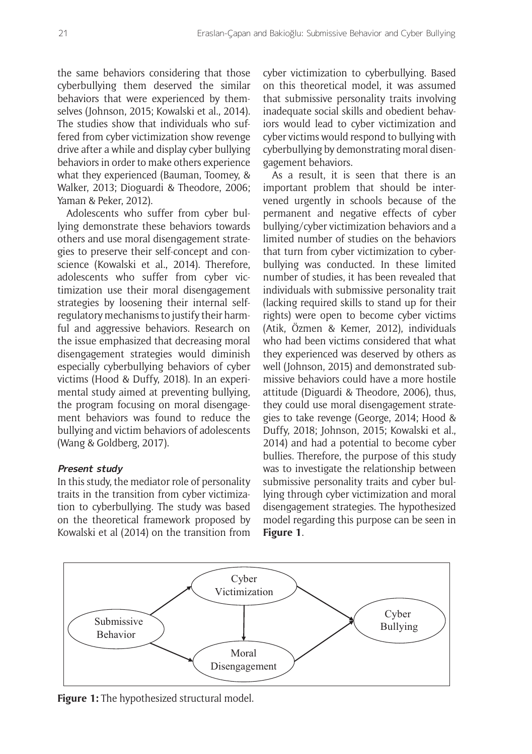the same behaviors considering that those cyberbullying them deserved the similar behaviors that were experienced by themselves (Johnson, 2015; Kowalski et al., 2014). The studies show that individuals who suffered from cyber victimization show revenge drive after a while and display cyber bullying behaviors in order to make others experience what they experienced (Bauman, Toomey, & Walker, 2013; Dioguardi & Theodore, 2006; Yaman & Peker, 2012).

Adolescents who suffer from cyber bullying demonstrate these behaviors towards others and use moral disengagement strategies to preserve their self-concept and conscience (Kowalski et al., 2014). Therefore, adolescents who suffer from cyber victimization use their moral disengagement strategies by loosening their internal selfregulatory mechanisms to justify their harmful and aggressive behaviors. Research on the issue emphasized that decreasing moral disengagement strategies would diminish especially cyberbullying behaviors of cyber victims (Hood & Duffy, 2018). In an experimental study aimed at preventing bullying, the program focusing on moral disengagement behaviors was found to reduce the bullying and victim behaviors of adolescents (Wang & Goldberg, 2017).

## **Present study**

In this study, the mediator role of personality traits in the transition from cyber victimization to cyberbullying. The study was based on the theoretical framework proposed by Kowalski et al (2014) on the transition from cyber victimization to cyberbullying. Based on this theoretical model, it was assumed that submissive personality traits involving inadequate social skills and obedient behaviors would lead to cyber victimization and cyber victims would respond to bullying with cyberbullying by demonstrating moral disengagement behaviors.

As a result, it is seen that there is an important problem that should be intervened urgently in schools because of the permanent and negative effects of cyber bullying/cyber victimization behaviors and a limited number of studies on the behaviors that turn from cyber victimization to cyberbullying was conducted. In these limited number of studies, it has been revealed that individuals with submissive personality trait (lacking required skills to stand up for their rights) were open to become cyber victims (Atik, Özmen & Kemer, 2012), individuals who had been victims considered that what they experienced was deserved by others as well (Johnson, 2015) and demonstrated submissive behaviors could have a more hostile attitude (Diguardi & Theodore, 2006), thus, they could use moral disengagement strategies to take revenge (George, 2014; Hood & Duffy, 2018; Johnson, 2015; Kowalski et al., 2014) and had a potential to become cyber bullies. Therefore, the purpose of this study was to investigate the relationship between submissive personality traits and cyber bullying through cyber victimization and moral disengagement strategies. The hypothesized model regarding this purpose can be seen in **Figure 1**.



**Figure 1:** The hypothesized structural model.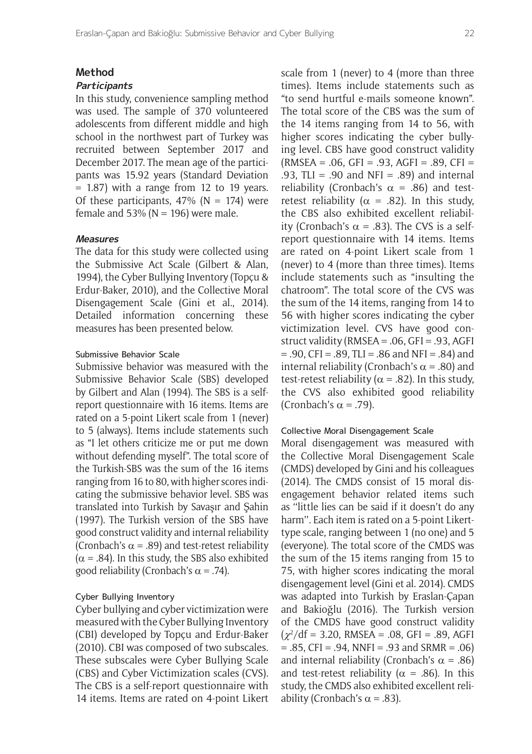#### **Method**

#### **Participants**

In this study, convenience sampling method was used. The sample of 370 volunteered adolescents from different middle and high school in the northwest part of Turkey was recruited between September 2017 and December 2017. The mean age of the participants was 15.92 years (Standard Deviation  $= 1.87$ ) with a range from 12 to 19 years. Of these participants,  $47\%$  (N = 174) were female and 53% ( $N = 196$ ) were male.

#### **Measures**

The data for this study were collected using the Submissive Act Scale (Gilbert & Alan, 1994), the Cyber Bullying Inventory (Topçu & Erdur-Baker, 2010), and the Collective Moral Disengagement Scale (Gini et al., 2014). Detailed information concerning these measures has been presented below.

#### Submissive Behavior Scale

Submissive behavior was measured with the Submissive Behavior Scale (SBS) developed by Gilbert and Alan (1994). The SBS is a selfreport questionnaire with 16 items. Items are rated on a 5-point Likert scale from 1 (never) to 5 (always). Items include statements such as "I let others criticize me or put me down without defending myself". The total score of the Turkish-SBS was the sum of the 16 items ranging from 16 to 80, with higher scores indicating the submissive behavior level. SBS was translated into Turkish by Savaşır and Şahin (1997). The Turkish version of the SBS have good construct validity and internal reliability (Cronbach's  $\alpha$  = .89) and test-retest reliability  $(\alpha = .84)$ . In this study, the SBS also exhibited good reliability (Cronbach's  $\alpha$  = .74).

## Cyber Bullying Inventory

Cyber bullying and cyber victimization were measured with the Cyber Bullying Inventory (CBI) developed by Topçu and Erdur-Baker (2010). CBI was composed of two subscales. These subscales were Cyber Bullying Scale (CBS) and Cyber Victimization scales (CVS). The CBS is a self-report questionnaire with 14 items. Items are rated on 4-point Likert

scale from 1 (never) to 4 (more than three times). Items include statements such as "to send hurtful e-mails someone known". The total score of the CBS was the sum of the 14 items ranging from 14 to 56, with higher scores indicating the cyber bullying level. CBS have good construct validity  $(RMSEA = .06, GFI = .93, AGFI = .89, CFI =$ .93, TLI = .90 and NFI = .89) and internal reliability (Cronbach's  $\alpha = .86$ ) and testretest reliability ( $\alpha$  = .82). In this study, the CBS also exhibited excellent reliability (Cronbach's  $\alpha$  = .83). The CVS is a selfreport questionnaire with 14 items. Items are rated on 4-point Likert scale from 1 (never) to 4 (more than three times). Items include statements such as "insulting the chatroom". The total score of the CVS was the sum of the 14 items, ranging from 14 to 56 with higher scores indicating the cyber victimization level. CVS have good construct validity (RMSEA = .06, GFI = .93, AGFI  $= .90$ , CFI = .89, TLI = .86 and NFI = .84) and internal reliability (Cronbach's  $\alpha$  = .80) and test-retest reliability ( $\alpha$  = .82). In this study, the CVS also exhibited good reliability (Cronbach's  $\alpha$  = .79).

#### Collective Moral Disengagement Scale

Moral disengagement was measured with the Collective Moral Disengagement Scale (CMDS) developed by Gini and his colleagues (2014). The CMDS consist of 15 moral disengagement behavior related items such as ''little lies can be said if it doesn't do any harm''. Each item is rated on a 5-point Likerttype scale, ranging between 1 (no one) and 5 (everyone). The total score of the CMDS was the sum of the 15 items ranging from 15 to 75, with higher scores indicating the moral disengagement level (Gini et al. 2014). CMDS was adapted into Turkish by Eraslan-Çapan and Bakioğlu (2016). The Turkish version of the CMDS have good construct validity  $(\chi^2/\text{df} = 3.20, \text{ RMSEA} = .08, \text{ GFI} = .89, \text{ AGFI}$  $= .85$ , CFI  $= .94$ , NNFI  $= .93$  and SRMR  $= .06$ ) and internal reliability (Cronbach's  $\alpha = .86$ ) and test-retest reliability ( $\alpha$  = .86). In this study, the CMDS also exhibited excellent reliability (Cronbach's  $\alpha$  = .83).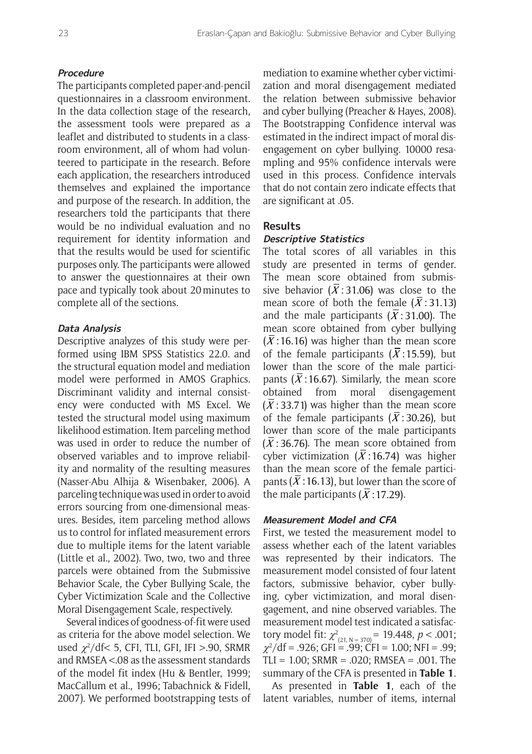#### **Procedure**

The participants completed paper-and-pencil questionnaires in a classroom environment. In the data collection stage of the research, the assessment tools were prepared as a leaflet and distributed to students in a classroom environment, all of whom had volunteered to participate in the research. Before each application, the researchers introduced themselves and explained the importance and purpose of the research. In addition, the researchers told the participants that there would be no individual evaluation and no requirement for identity information and that the results would be used for scientific purposes only. The participants were allowed to answer the questionnaires at their own pace and typically took about 20minutes to complete all of the sections.

#### **Data Analysis**

Descriptive analyzes of this study were performed using IBM SPSS Statistics 22.0. and the structural equation model and mediation model were performed in AMOS Graphics. Discriminant validity and internal consistency were conducted with MS Excel. We tested the structural model using maximum likelihood estimation. Item parceling method was used in order to reduce the number of observed variables and to improve reliability and normality of the resulting measures (Nasser-Abu Alhija & Wisenbaker, 2006). A parceling technique was used in order to avoid errors sourcing from one-dimensional measures. Besides, item parceling method allows us to control for inflated measurement errors due to multiple items for the latent variable (Little et al., 2002). Two, two, two and three parcels were obtained from the Submissive Behavior Scale, the Cyber Bullying Scale, the Cyber Victimization Scale and the Collective Moral Disengagement Scale, respectively.

Several indices of goodness-of-fit were used as criteria for the above model selection. We used  $\chi^2$ /df< 5, CFI, TLI, GFI, IFI >.90, SRMR and RMSEA <.08 as the assessment standards of the model fit index (Hu & Bentler, 1999; MacCallum et al., 1996; Tabachnick & Fidell, 2007). We performed bootstrapping tests of

mediation to examine whether cyber victimization and moral disengagement mediated the relation between submissive behavior and cyber bullying (Preacher & Hayes, 2008). The Bootstrapping Confidence interval was estimated in the indirect impact of moral disengagement on cyber bullying. 10000 resampling and 95% confidence intervals were used in this process. Confidence intervals that do not contain zero indicate effects that are significant at .05.

#### **Results**

## **Descriptive Statistics**

The total scores of all variables in this study are presented in terms of gender. The mean score obtained from submissive behavior ( $\overline{X}$ : 31.06) was close to the mean score of both the female  $(\bar{X} : 31.13)$ and the male participants ( $\overline{X}$ : 31.00). The mean score obtained from cyber bullying  $(\bar{X}:16.16)$  was higher than the mean score of the female participants ( $\overline{X}$ : 15.59), but lower than the score of the male participants ( $\overline{X}$ : 16.67). Similarly, the mean score obtained from moral disengagement  $(\bar{X}$ : 33.71) was higher than the mean score of the female participants ( $\overline{X}$ : 30.26), but lower than score of the male participants  $(\bar{X}$ : 36.76). The mean score obtained from cyber victimization ( $\overline{X}$ :16.74) was higher than the mean score of the female participants ( $\overline{X}$ : 16.13), but lower than the score of the male participants  $(\bar{X}$ : 17.29).

## **Measurement Model and CFA**

First, we tested the measurement model to assess whether each of the latent variables was represented by their indicators. The measurement model consisted of four latent factors, submissive behavior, cyber bullying, cyber victimization, and moral disengagement, and nine observed variables. The measurement model test indicated a satisfactory model fit:  $\chi^2_{(21, N = 370)} = 19.448$ ,  $p < .001$ ;  $\chi^2$ /df = .926; GFI = .99; CFI = 1.00; NFI = .99; TLI =  $1.00$ ; SRMR =  $.020$ ; RMSEA =  $.001$ . The summary of the CFA is presented in **Table 1**.

As presented in **Table 1**, each of the latent variables, number of items, internal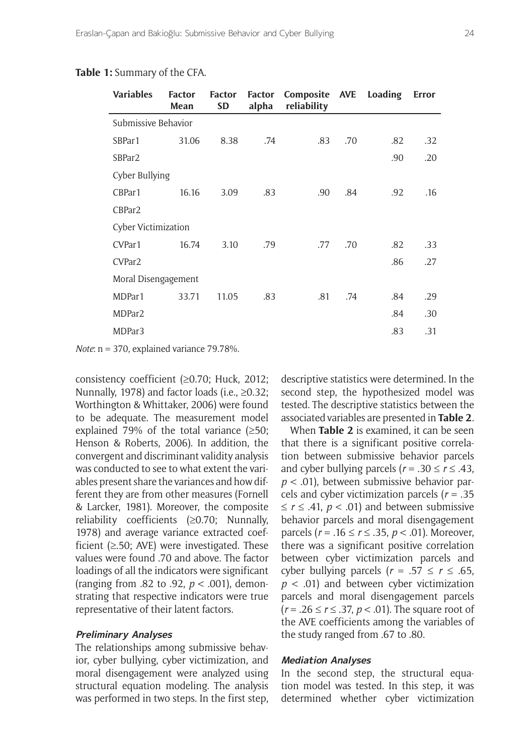#### **Table 1:** Summary of the CFA.

| <b>Variables</b>    | <b>Factor</b><br>Mean | <b>Factor</b><br><b>SD</b> | <b>Factor</b><br>alpha | Composite AVE Loading<br>reliability |     |     | <b>Error</b> |
|---------------------|-----------------------|----------------------------|------------------------|--------------------------------------|-----|-----|--------------|
| Submissive Behavior |                       |                            |                        |                                      |     |     |              |
| SBPar1              | 31.06                 | 8.38                       | .74                    | .83                                  | .70 | .82 | .32          |
| SBPar <sub>2</sub>  |                       |                            |                        |                                      |     | .90 | .20          |
| Cyber Bullying      |                       |                            |                        |                                      |     |     |              |
| CBPar1              | 16.16                 | 3.09                       | .83                    | .90                                  | .84 | .92 | .16          |
| CBPar <sub>2</sub>  |                       |                            |                        |                                      |     |     |              |
| Cyber Victimization |                       |                            |                        |                                      |     |     |              |
| CVPar1              | 16.74                 | 3.10                       | .79                    | .77                                  | .70 | .82 | .33          |
| CVPar <sub>2</sub>  |                       |                            |                        |                                      |     | .86 | .27          |
| Moral Disengagement |                       |                            |                        |                                      |     |     |              |
| MDPar1              | 33.71                 | 11.05                      | .83                    | .81                                  | .74 | .84 | .29          |
| MDPar <sub>2</sub>  |                       |                            |                        |                                      |     | .84 | .30          |
| MDPar3              |                       |                            |                        |                                      |     | .83 | .31          |

*Note*: n = 370, explained variance 79.78%.

consistency coefficient (≥0.70; Huck, 2012; Nunnally, 1978) and factor loads (i.e., ≥0.32; Worthington & Whittaker, 2006) were found to be adequate. The measurement model explained 79% of the total variance (≥50; Henson & Roberts, 2006). In addition, the convergent and discriminant validity analysis was conducted to see to what extent the variables present share the variances and how different they are from other measures (Fornell & Larcker, 1981). Moreover, the composite reliability coefficients (≥0.70; Nunnally, 1978) and average variance extracted coefficient  $(\geq 50;$  AVE) were investigated. These values were found .70 and above. The factor loadings of all the indicators were significant (ranging from .82 to .92, *p* < .001), demonstrating that respective indicators were true representative of their latent factors.

#### **Preliminary Analyses**

The relationships among submissive behavior, cyber bullying, cyber victimization, and moral disengagement were analyzed using structural equation modeling. The analysis was performed in two steps. In the first step, descriptive statistics were determined. In the second step, the hypothesized model was tested. The descriptive statistics between the associated variables are presented in **Table 2**.

When **Table 2** is examined, it can be seen that there is a significant positive correlation between submissive behavior parcels and cyber bullying parcels ( $r = .30 \le r \le .43$ , *p* < .01), between submissive behavior parcels and cyber victimization parcels (*r* = .35 ≤ *r* ≤ .41, *p* < .01) and between submissive behavior parcels and moral disengagement parcels (*r* = .16 ≤ *r* ≤ .35, *p* < .01). Moreover, there was a significant positive correlation between cyber victimization parcels and cyber bullying parcels ( $r = .57 \le r \le .65$ , *p* < .01) and between cyber victimization parcels and moral disengagement parcels (*r* = .26 ≤ *r* ≤ .37, *p* < .01). The square root of the AVE coefficients among the variables of the study ranged from .67 to .80.

#### **Mediation Analyses**

In the second step, the structural equation model was tested. In this step, it was determined whether cyber victimization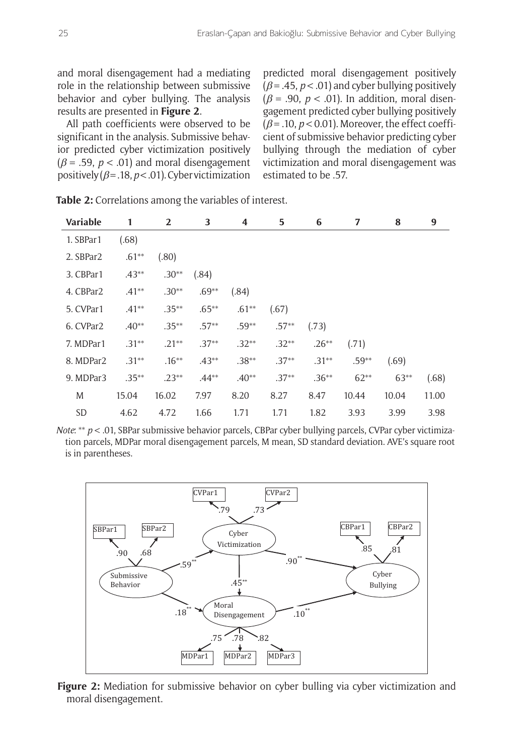and moral disengagement had a mediating role in the relationship between submissive behavior and cyber bullying. The analysis results are presented in **Figure 2**.

All path coefficients were observed to be significant in the analysis. Submissive behavior predicted cyber victimization positively  $(\beta = .59, p < .01)$  and moral disengagement positively  $(\beta = .18, p < .01)$ . Cyber victimization predicted moral disengagement positively  $(\beta = .45, p < .01)$  and cyber bullying positively  $(\beta = .90, p < .01)$ . In addition, moral disengagement predicted cyber bullying positively  $(\beta = .10, p < 0.01)$ . Moreover, the effect coefficient of submissive behavior predicting cyber bullying through the mediation of cyber victimization and moral disengagement was estimated to be .57.

| <b>Variable</b>       | 1        | 2        | 3        | 4       | 5       | 6       | 7       | 8      | 9     |
|-----------------------|----------|----------|----------|---------|---------|---------|---------|--------|-------|
| 1. SBPar1             | (.68)    |          |          |         |         |         |         |        |       |
| 2. SBPar2             | $.61**$  | (.80)    |          |         |         |         |         |        |       |
| 3. CBPar1             | $.43**$  | $.30**$  | (.84)    |         |         |         |         |        |       |
| 4. CBPar2             | $.41**$  | $.30**$  | $.69**$  | (.84)   |         |         |         |        |       |
| 5. CVPar1             | $.41**$  | $.35***$ | $.65***$ | $.61**$ | (.67)   |         |         |        |       |
| 6. CVPar <sub>2</sub> | $.40**$  | $.35***$ | $.57**$  | $.59**$ | $.57**$ | (.73)   |         |        |       |
| 7. MDPar1             | $.31***$ | $.21**$  | $.37**$  | $.32**$ | $.32**$ | $.26**$ | (.71)   |        |       |
| 8. MDPar2             | $.31***$ | $.16***$ | $.43**$  | $.38**$ | $.37**$ | $.31**$ | $.59**$ | (.69)  |       |
| 9. MDPar3             | $.35***$ | $.23**$  | $.44**$  | $.40**$ | $.37**$ | $.36**$ | $62**$  | $63**$ | (.68) |
| M                     | 15.04    | 16.02    | 7.97     | 8.20    | 8.27    | 8.47    | 10.44   | 10.04  | 11.00 |
| SD                    | 4.62     | 4.72     | 1.66     | 1.71    | 1.71    | 1.82    | 3.93    | 3.99   | 3.98  |

**Table 2:** Correlations among the variables of interest.

*Note*: \*\* *p* < .01, SBPar submissive behavior parcels, CBPar cyber bullying parcels, CVPar cyber victimization parcels, MDPar moral disengagement parcels, M mean, SD standard deviation. AVE's square root is in parentheses.



**Figure 2:** Mediation for submissive behavior on cyber bulling via cyber victimization and moral disengagement.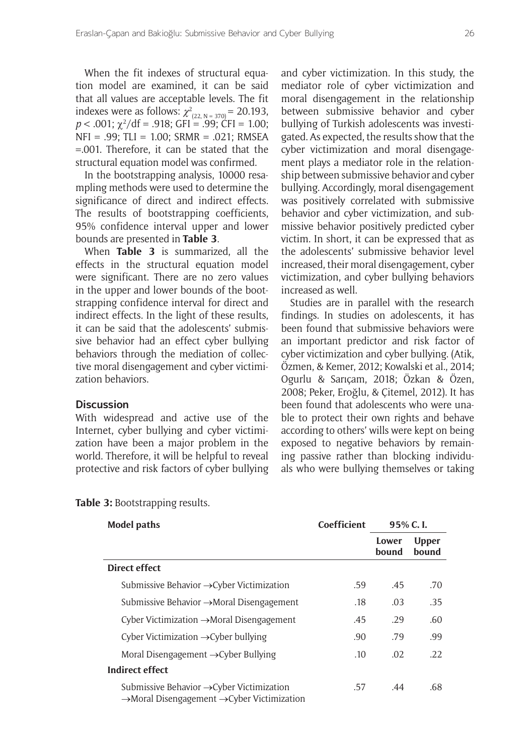When the fit indexes of structural equation model are examined, it can be said that all values are acceptable levels. The fit indexes were as follows:  $\chi^2_{(22, N=370)} = 20.193$ ,  $p < .001$ ;  $\chi^2$ /df = .918; GFI = .99; CFI = 1.00; NFI = .99; TLI = 1.00; SRMR = .021; RMSEA =.001. Therefore, it can be stated that the structural equation model was confirmed.

In the bootstrapping analysis, 10000 resampling methods were used to determine the significance of direct and indirect effects. The results of bootstrapping coefficients, 95% confidence interval upper and lower bounds are presented in **Table 3**.

When **Table 3** is summarized, all the effects in the structural equation model were significant. There are no zero values in the upper and lower bounds of the bootstrapping confidence interval for direct and indirect effects. In the light of these results, it can be said that the adolescents' submissive behavior had an effect cyber bullying behaviors through the mediation of collective moral disengagement and cyber victimization behaviors.

#### **Discussion**

With widespread and active use of the Internet, cyber bullying and cyber victimization have been a major problem in the world. Therefore, it will be helpful to reveal protective and risk factors of cyber bullying and cyber victimization. In this study, the mediator role of cyber victimization and moral disengagement in the relationship between submissive behavior and cyber bullying of Turkish adolescents was investigated. As expected, the results show that the cyber victimization and moral disengagement plays a mediator role in the relationship between submissive behavior and cyber bullying. Accordingly, moral disengagement was positively correlated with submissive behavior and cyber victimization, and submissive behavior positively predicted cyber victim. In short, it can be expressed that as the adolescents' submissive behavior level increased, their moral disengagement, cyber victimization, and cyber bullying behaviors increased as well.

Studies are in parallel with the research findings. In studies on adolescents, it has been found that submissive behaviors were an important predictor and risk factor of cyber victimization and cyber bullying. (Atik, Özmen, & Kemer, 2012; Kowalski et al., 2014; Ogurlu & Sarıçam, 2018; Özkan & Özen, 2008; Peker, Eroğlu, & Çitemel, 2012). It has been found that adolescents who were unable to protect their own rights and behave according to others' wills were kept on being exposed to negative behaviors by remaining passive rather than blocking individuals who were bullying themselves or taking

| <b>Model paths</b>                                                                                                           | Coefficient | 95% C.I.       |                       |
|------------------------------------------------------------------------------------------------------------------------------|-------------|----------------|-----------------------|
|                                                                                                                              |             | Lower<br>bound | <b>Upper</b><br>bound |
| Direct effect                                                                                                                |             |                |                       |
| Submissive Behavior → Cyber Victimization                                                                                    | .59         | .45            | .70                   |
| Submissive Behavior $\rightarrow$ Moral Disengagement                                                                        | .18         | .03            | .35                   |
| Cyber Victimization $\rightarrow$ Moral Disengagement                                                                        | .45         | .29            | .60                   |
| Cyber Victimization $\rightarrow$ Cyber bullying                                                                             | .90         | .79            | .99                   |
| Moral Disengagement $\rightarrow$ Cyber Bullying                                                                             | .10         | .02            | .22.                  |
| <b>Indirect effect</b>                                                                                                       |             |                |                       |
| Submissive Behavior $\rightarrow$ Cyber Victimization<br>$\rightarrow$ Moral Disengagement $\rightarrow$ Cyber Victimization | .57         | .44            | .68                   |

**Table 3:** Bootstrapping results.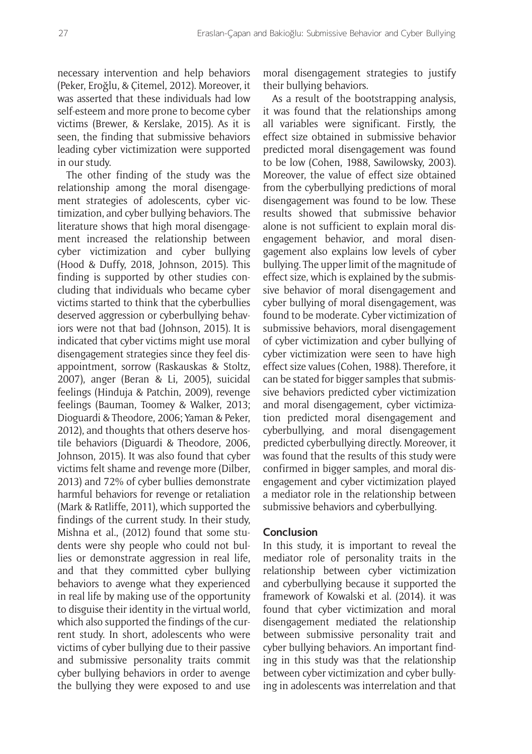necessary intervention and help behaviors (Peker, Eroğlu, & Çitemel, 2012). Moreover, it was asserted that these individuals had low self-esteem and more prone to become cyber victims (Brewer, & Kerslake, 2015). As it is seen, the finding that submissive behaviors leading cyber victimization were supported in our study.

The other finding of the study was the relationship among the moral disengagement strategies of adolescents, cyber victimization, and cyber bullying behaviors. The literature shows that high moral disengagement increased the relationship between cyber victimization and cyber bullying (Hood & Duffy, 2018, Johnson, 2015). This finding is supported by other studies concluding that individuals who became cyber victims started to think that the cyberbullies deserved aggression or cyberbullying behaviors were not that bad (Johnson, 2015). It is indicated that cyber victims might use moral disengagement strategies since they feel disappointment, sorrow (Raskauskas & Stoltz, 2007), anger (Beran & Li, 2005), suicidal feelings (Hinduja & Patchin, 2009), revenge feelings (Bauman, Toomey & Walker, 2013; Dioguardi & Theodore, 2006; Yaman & Peker, 2012), and thoughts that others deserve hostile behaviors (Diguardi & Theodore, 2006, Johnson, 2015). It was also found that cyber victims felt shame and revenge more (Dilber, 2013) and 72% of cyber bullies demonstrate harmful behaviors for revenge or retaliation (Mark & Ratliffe, 2011), which supported the findings of the current study. In their study, Mishna et al., (2012) found that some students were shy people who could not bullies or demonstrate aggression in real life, and that they committed cyber bullying behaviors to avenge what they experienced in real life by making use of the opportunity to disguise their identity in the virtual world, which also supported the findings of the current study. In short, adolescents who were victims of cyber bullying due to their passive and submissive personality traits commit cyber bullying behaviors in order to avenge the bullying they were exposed to and use moral disengagement strategies to justify their bullying behaviors.

As a result of the bootstrapping analysis, it was found that the relationships among all variables were significant. Firstly, the effect size obtained in submissive behavior predicted moral disengagement was found to be low (Cohen, 1988, Sawilowsky, 2003). Moreover, the value of effect size obtained from the cyberbullying predictions of moral disengagement was found to be low. These results showed that submissive behavior alone is not sufficient to explain moral disengagement behavior, and moral disengagement also explains low levels of cyber bullying. The upper limit of the magnitude of effect size, which is explained by the submissive behavior of moral disengagement and cyber bullying of moral disengagement, was found to be moderate. Cyber victimization of submissive behaviors, moral disengagement of cyber victimization and cyber bullying of cyber victimization were seen to have high effect size values (Cohen, 1988). Therefore, it can be stated for bigger samples that submissive behaviors predicted cyber victimization and moral disengagement, cyber victimization predicted moral disengagement and cyberbullying, and moral disengagement predicted cyberbullying directly. Moreover, it was found that the results of this study were confirmed in bigger samples, and moral disengagement and cyber victimization played a mediator role in the relationship between submissive behaviors and cyberbullying.

## **Conclusion**

In this study, it is important to reveal the mediator role of personality traits in the relationship between cyber victimization and cyberbullying because it supported the framework of Kowalski et al. (2014). it was found that cyber victimization and moral disengagement mediated the relationship between submissive personality trait and cyber bullying behaviors. An important finding in this study was that the relationship between cyber victimization and cyber bullying in adolescents was interrelation and that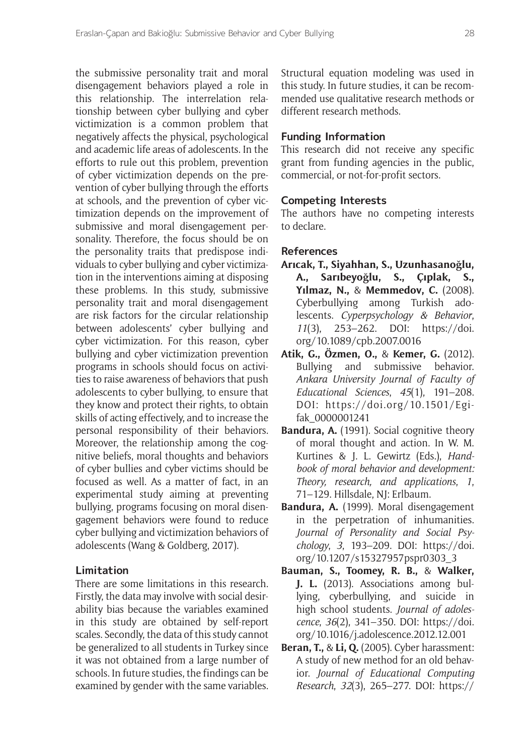the submissive personality trait and moral disengagement behaviors played a role in this relationship. The interrelation relationship between cyber bullying and cyber victimization is a common problem that negatively affects the physical, psychological and academic life areas of adolescents. In the efforts to rule out this problem, prevention of cyber victimization depends on the prevention of cyber bullying through the efforts at schools, and the prevention of cyber victimization depends on the improvement of submissive and moral disengagement personality. Therefore, the focus should be on the personality traits that predispose individuals to cyber bullying and cyber victimization in the interventions aiming at disposing these problems. In this study, submissive personality trait and moral disengagement are risk factors for the circular relationship between adolescents' cyber bullying and cyber victimization. For this reason, cyber bullying and cyber victimization prevention programs in schools should focus on activities to raise awareness of behaviors that push adolescents to cyber bullying, to ensure that they know and protect their rights, to obtain skills of acting effectively, and to increase the personal responsibility of their behaviors. Moreover, the relationship among the cognitive beliefs, moral thoughts and behaviors of cyber bullies and cyber victims should be focused as well. As a matter of fact, in an experimental study aiming at preventing bullying, programs focusing on moral disengagement behaviors were found to reduce cyber bullying and victimization behaviors of adolescents (Wang & Goldberg, 2017).

## **Limitation**

There are some limitations in this research. Firstly, the data may involve with social desirability bias because the variables examined in this study are obtained by self-report scales. Secondly, the data of this study cannot be generalized to all students in Turkey since it was not obtained from a large number of schools. In future studies, the findings can be examined by gender with the same variables.

Structural equation modeling was used in this study. In future studies, it can be recommended use qualitative research methods or different research methods.

## **Funding Information**

This research did not receive any specific grant from funding agencies in the public, commercial, or not-for-profit sectors.

## **Competing Interests**

The authors have no competing interests to declare.

#### **References**

- **Arıcak, T., Siyahhan, S., Uzunhasanoğlu, A., Sarıbeyoğlu, S., Çıplak, S., Yılmaz, N.,** & **Memmedov, C.** (2008). Cyberbullying among Turkish adolescents. *Cyperpsychology & Behavior*, *11*(3), 253–262. DOI: [https://doi.](https://doi.org/10.1089/cpb.2007.0016) [org/10.1089/cpb.2007.0016](https://doi.org/10.1089/cpb.2007.0016)
- **Atik, G., Özmen, O.,** & **Kemer, G.** (2012). Bullying and submissive behavior. *Ankara University Journal of Faculty of Educational Sciences*, *45*(1), 191–208. DOI: [https://doi.org/10.1501/Egi](https://doi.org/10.1501/Egifak_0000001241)[fak\\_0000001241](https://doi.org/10.1501/Egifak_0000001241)
- Bandura, A. (1991). Social cognitive theory of moral thought and action. In W. M. Kurtines & J. L. Gewirtz (Eds.), *Handbook of moral behavior and development: Theory, research, and applications*, *1*, 71–129. Hillsdale, NJ: Erlbaum.
- **Bandura, A.** (1999). Moral disengagement in the perpetration of inhumanities. *Journal of Personality and Social Psychology*, *3*, 193–209. DOI: [https://doi.](https://doi.org/10.1207/s15327957pspr0303_3) [org/10.1207/s15327957pspr0303\\_3](https://doi.org/10.1207/s15327957pspr0303_3)
- **Bauman, S., Toomey, R. B.,** & **Walker, J. L.** (2013). Associations among bullying, cyberbullying, and suicide in high school students. *Journal of adolescence*, *36*(2), 341–350. DOI: [https://doi.](https://doi.org/10.1016/j.adolescence.2012.12.001) [org/10.1016/j.adolescence.2012.12.001](https://doi.org/10.1016/j.adolescence.2012.12.001)
- **Beran, T.,** & **Li, Q.** (2005). Cyber harassment: A study of new method for an old behavior. *Journal of Educational Computing Research*, *32*(3), 265–277. DOI: [https://](https://doi.org/10.2190/8YQM-B04H-PG4D-BLLH)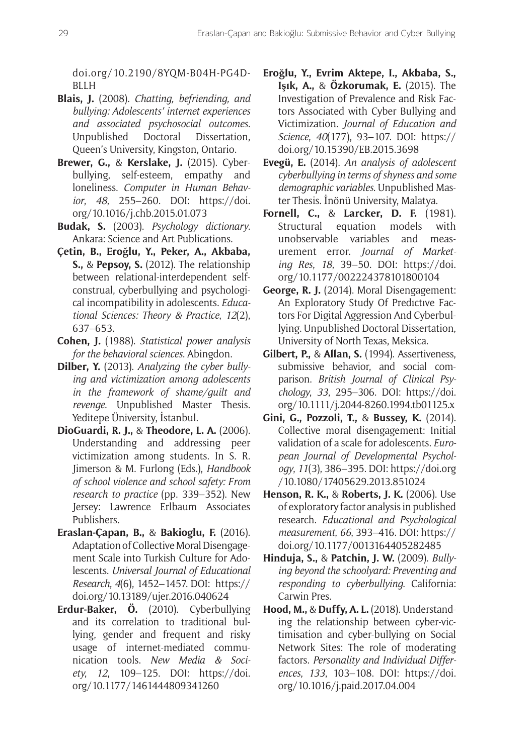[doi.org/10.2190/8YQM-B04H-PG4D-](https://doi.org/10.2190/8YQM-B04H-PG4D-BLLH)**[BLLH](https://doi.org/10.2190/8YQM-B04H-PG4D-BLLH)** 

- **Blais, J.** (2008). *Chatting, befriending, and bullying: Adolescents' internet experiences and associated psychosocial outcomes*. Unpublished Doctoral Dissertation, Queen's University, Kingston, Ontario.
- **Brewer, G.,** & **Kerslake, J.** (2015). Cyberbullying, self-esteem, empathy and loneliness. *Computer in Human Behavior*, *48*, 255–260. DOI: [https://doi.](https://doi.org/10.1016/j.chb.2015.01.073) [org/10.1016/j.chb.2015.01.073](https://doi.org/10.1016/j.chb.2015.01.073)
- **Budak, S.** (2003). *Psychology dictionary*. Ankara: Science and Art Publications.
- **Çetin, B., Eroğlu, Y., Peker, A., Akbaba, S.,** & **Pepsoy, S.** (2012). The relationship between relational-interdependent selfconstrual, cyberbullying and psychological incompatibility in adolescents. *Educational Sciences: Theory & Practice*, *12*(2), 637–653.
- **Cohen, J.** (1988). *Statistical power analysis for the behavioral sciences*. Abingdon.
- **Dilber, Y.** (2013). *Analyzing the cyber bullying and victimization among adolescents in the framework of shame/guilt and revenge*. Unpublished Master Thesis. Yeditepe Üniversity, İstanbul.
- **DioGuardi, R. J.,** & **Theodore, L. A.** (2006). Understanding and addressing peer victimization among students. In S. R. Jimerson & M. Furlong (Eds.), *Handbook of school violence and school safety: From research to practice* (pp. 339–352). New Jersey: Lawrence Erlbaum Associates Publishers.
- **Eraslan-Çapan, B.,** & **Bakioglu, F.** (2016). Adaptation of Collective Moral Disengagement Scale into Turkish Culture for Adolescents. *Universal Journal of Educational Research*, *4*(6), 1452–1457. DOI: [https://](https://doi.org/10.13189/ujer.2016.040624) [doi.org/10.13189/ujer.2016.040624](https://doi.org/10.13189/ujer.2016.040624)
- **Erdur-Baker, Ö.** (2010). Cyberbullying and its correlation to traditional bullying, gender and frequent and risky usage of internet-mediated communication tools. *New Media & Society*, *12*, 109–125. DOI: [https://doi.](https://doi.org/10.1177/1461444809341260) [org/10.1177/1461444809341260](https://doi.org/10.1177/1461444809341260)
- **Eroğlu, Y., Evrim Aktepe, I., Akbaba, S., Işık, A.,** & **Özkorumak, E.** (2015). The Investigation of Prevalence and Risk Factors Associated with Cyber Bullying and Victimization. *Journal of Education and Science*, *40*(177), 93–107. DOI: [https://](https://doi.org/10.15390/EB.2015.3698) [doi.org/10.15390/EB.2015.3698](https://doi.org/10.15390/EB.2015.3698)
- **Evegü, E.** (2014). *An analysis of adolescent cyberbullying in terms of shyness and some demographic variables*. Unpublished Master Thesis. İnönü University, Malatya.
- **Fornell, C.,** & **Larcker, D. F.** (1981). Structural equation models with unobservable variables and measurement error. *Journal of Marketing Res*, *18*, 39–50. DOI: [https://doi.](https://doi.org/10.1177/002224378101800104) [org/10.1177/002224378101800104](https://doi.org/10.1177/002224378101800104)
- **George, R. J.** (2014). Moral Disengagement: An Exploratory Study Of Predıctıve Factors For Digital Aggression And Cyberbullying. Unpublished Doctoral Dissertation, University of North Texas, Meksica.
- **Gilbert, P.,** & **Allan, S.** (1994). Assertiveness, submissive behavior, and social comparison. *British Journal of Clinical Psychology*, *33*, 295–306. DOI: [https://doi.](https://doi.org/10.1111/j.2044-8260.1994.tb01125.x) [org/10.1111/j.2044-8260.1994.tb01125.x](https://doi.org/10.1111/j.2044-8260.1994.tb01125.x)
- **Gini, G., Pozzoli, T.,** & **Bussey, K.** (2014). Collective moral disengagement: Initial validation of a scale for adolescents. *European Journal of Developmental Psychology*, *11*(3), 386–395. DOI: [https://doi.org](https://doi.org/10.1080/17405629.2013.851024) [/10.1080/17405629.2013.851024](https://doi.org/10.1080/17405629.2013.851024)
- **Henson, R. K.,** & **Roberts, J. K.** (2006). Use of exploratory factor analysis in published research. *Educational and Psychological measurement*, *66*, 393–416. DOI: [https://](https://doi.org/10.1177/0013164405282485) [doi.org/10.1177/0013164405282485](https://doi.org/10.1177/0013164405282485)
- **Hinduja, S.,** & **Patchin, J. W.** (2009). *Bullying beyond the schoolyard: Preventing and responding to cyberbullying*. California: Carwin Pres.
- **Hood, M.,** & **Duffy, A. L.** (2018). Understanding the relationship between cyber-victimisation and cyber-bullying on Social Network Sites: The role of moderating factors. *Personality and Individual Differences*, *133*, 103–108. DOI: [https://doi.](https://doi.org/10.1016/j.paid.2017.04.004) [org/10.1016/j.paid.2017.04.004](https://doi.org/10.1016/j.paid.2017.04.004)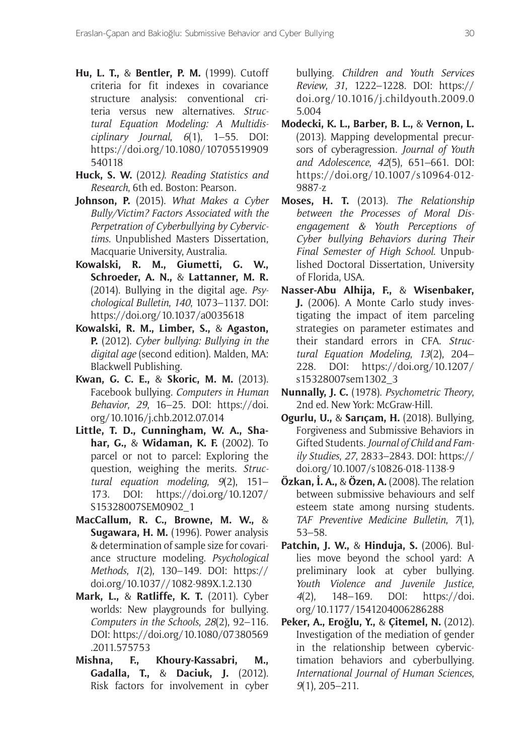- **Hu, L. T.,** & **Bentler, P. M.** (1999). Cutoff criteria for fit indexes in covariance structure analysis: conventional criteria versus new alternatives. *Structural Equation Modeling: A Multidisciplinary Journal*, *6*(1), 1–55. DOI: [https://doi.org/10.1080/10705519909](https://doi.org/10.1080/10705519909540118) [540118](https://doi.org/10.1080/10705519909540118)
- **Huck, S. W.** (2012*)*. *Reading Statistics and Research*, 6th ed. Boston: Pearson.
- **Johnson, P.** (2015). *What Makes a Cyber Bully/Victim? Factors Associated with the Perpetration of Cyberbullying by Cybervictims*. Unpublished Masters Dissertation, Macquarie University, Australia.
- **Kowalski, R. M., Giumetti, G. W., Schroeder, A. N.,** & **Lattanner, M. R.** (2014). Bullying in the digital age. *Psychological Bulletin*, *140*, 1073–1137. DOI: <https://doi.org/10.1037/a0035618>
- **Kowalski, R. M., Limber, S.,** & **Agaston, P.** (2012). *Cyber bullying: Bullying in the digital age* (second edition). Malden, MA: Blackwell Publishing.
- **Kwan, G. C. E.,** & **Skoric, M. M.** (2013). Facebook bullying. *Computers in Human Behavior*, *29*, 16–25. DOI: [https://doi.](https://doi.org/10.1016/j.chb.2012.07.014) [org/10.1016/j.chb.2012.07.014](https://doi.org/10.1016/j.chb.2012.07.014)
- **Little, T. D., Cunningham, W. A., Shahar, G.,** & **Widaman, K. F.** (2002). To parcel or not to parcel: Exploring the question, weighing the merits. *Structural equation modeling*, *9*(2), 151– 173. DOI: [https://doi.org/10.1207/](https://doi.org/10.1207/S15328007SEM0902_1) [S15328007SEM0902\\_1](https://doi.org/10.1207/S15328007SEM0902_1)
- **MacCallum, R. C., Browne, M. W.,** & **Sugawara, H. M.** (1996). Power analysis & determination of sample size for covariance structure modeling. *Psychological Methods*, *1*(2), 130–149. DOI: [https://](https://doi.org/10.1037//1082-989X.1.2.130) [doi.org/10.1037//1082-989X.1.2.130](https://doi.org/10.1037//1082-989X.1.2.130)
- **Mark, L.,** & **Ratliffe, K. T.** (2011). Cyber worlds: New playgrounds for bullying. *Computers in the Schools*, *28*(2), 92–116. DOI: [https://doi.org/10.1080/07380569](https://doi.org/10.1080/07380569.2011.575753) [.2011.575753](https://doi.org/10.1080/07380569.2011.575753)
- **Mishna, F., Khoury-Kassabri, M., Gadalla, T.,** & **Daciuk, J.** (2012). Risk factors for involvement in cyber

bullying. *Children and Youth Services Review*, *31*, 1222–1228. DOI: [https://](https://doi.org/10.1016/j.childyouth.2009.05.004) [doi.org/10.1016/j.childyouth.2009.0](https://doi.org/10.1016/j.childyouth.2009.05.004) [5.004](https://doi.org/10.1016/j.childyouth.2009.05.004)

- **Modecki, K. L., Barber, B. L.,** & **Vernon, L.** (2013). Mapping developmental precursors of cyberagression. *Journal of Youth and Adolescence*, *42*(5), 651–661. DOI: [https://doi.org/10.1007/s10964-012-](https://doi.org/10.1007/s10964-012-9887-z) [9887-z](https://doi.org/10.1007/s10964-012-9887-z)
- **Moses, H. T.** (2013). *The Relationship between the Processes of Moral Disengagement & Youth Perceptions of Cyber bullying Behaviors during Their Final Semester of High School*. Unpublished Doctoral Dissertation, University of Florida, USA.
- **Nasser-Abu Alhija, F.,** & **Wisenbaker, J.** (2006). A Monte Carlo study investigating the impact of item parceling strategies on parameter estimates and their standard errors in CFA. *Structural Equation Modeling*, *13*(2), 204– 228. DOI: [https://doi.org/10.1207/](https://doi.org/10.1207/s15328007sem1302_3) [s15328007sem1302\\_3](https://doi.org/10.1207/s15328007sem1302_3)
- **Nunnally, J. C.** (1978). *Psychometric Theory*, 2nd ed. New York: McGraw-Hill.
- **Ogurlu, U.,** & **Sarıçam, H.** (2018). Bullying, Forgiveness and Submissive Behaviors in Gifted Students. *Journal of Child and Family Studies*, *27*, 2833–2843. DOI: [https://](https://doi.org/10.1007/s10826-018-1138-9) [doi.org/10.1007/s10826-018-1138-9](https://doi.org/10.1007/s10826-018-1138-9)
- **Özkan, İ. A.,** & **Özen, A.** (2008). The relation between submissive behaviours and self esteem state among nursing students. *TAF Preventive Medicine Bulletin*, *7*(1), 53–58.
- **Patchin, J. W.,** & **Hinduja, S.** (2006). Bullies move beyond the school yard: A preliminary look at cyber bullying. *Youth Violence and Juvenile Justice*, *4*(2), 148–169. DOI: [https://doi.](https://doi.org/10.1177/1541204006286288) [org/10.1177/1541204006286288](https://doi.org/10.1177/1541204006286288)
- **Peker, A., Eroğlu, Y.,** & **Çitemel, N.** (2012). Investigation of the mediation of gender in the relationship between cybervictimation behaviors and cyberbullying. *International Journal of Human Sciences*, *9*(1), 205–211.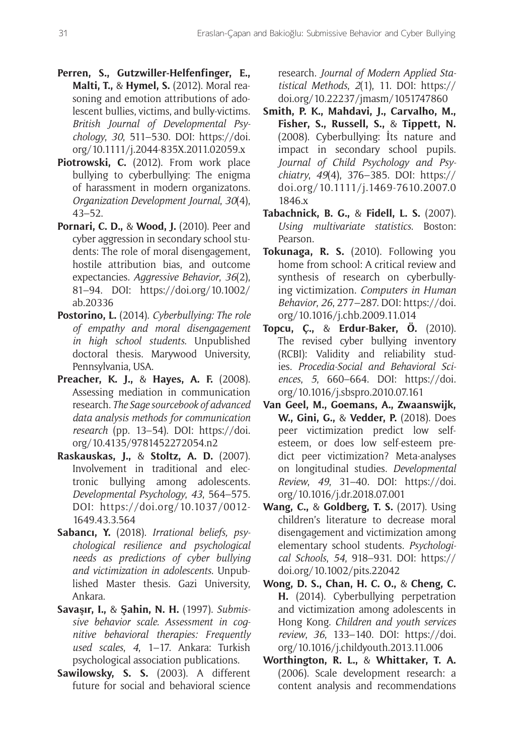- **Perren, S., Gutzwiller-Helfenfinger, E., Malti, T.,** & **Hymel, S.** (2012). Moral reasoning and emotion attributions of adolescent bullies, victims, and bully-victims. *British Journal of Developmental Psychology*, *30*, 511–530. DOI: [https://doi.](https://doi.org/10.1111/j.2044-835X.2011.02059.x) [org/10.1111/j.2044-835X.2011.02059.x](https://doi.org/10.1111/j.2044-835X.2011.02059.x)
- **Piotrowski, C.** (2012). From work place bullying to cyberbullying: The enigma of harassment in modern organizatons. *Organization Development Journal*, *30*(4), 43–52.
- **Pornari, C. D.,** & **Wood, J.** (2010). Peer and cyber aggression in secondary school students: The role of moral disengagement, hostile attribution bias, and outcome expectancies. *Aggressive Behavior*, *36*(2), 81–94. DOI: [https://doi.org/10.1002/](https://doi.org/10.1002/ab.20336) [ab.20336](https://doi.org/10.1002/ab.20336)
- **Postorino, L.** (2014). *Cyberbullying: The role of empathy and moral disengagement in high school students*. Unpublished doctoral thesis. Marywood University, Pennsylvania, USA.
- **Preacher, K. J.,** & **Hayes, A. F.** (2008). Assessing mediation in communication research. *The Sage sourcebook of advanced data analysis methods for communication research* (pp. 13–54). DOI: [https://doi.](https://doi.org/10.4135/9781452272054.n2) [org/10.4135/9781452272054.n2](https://doi.org/10.4135/9781452272054.n2)
- **Raskauskas, J.,** & **Stoltz, A. D.** (2007). Involvement in traditional and electronic bullying among adolescents. *Developmental Psychology*, *43*, 564–575. DOI: [https://doi.org/10.1037/0012-](https://doi.org/10.1037/0012-1649.43.3.564) [1649.43.3.564](https://doi.org/10.1037/0012-1649.43.3.564)
- **Sabancı, Y.** (2018). *Irrational beliefs, psychological resilience and psychological needs as predictions of cyber bullying and victimization in adolescents*. Unpublished Master thesis. Gazi University, Ankara.
- **Savaşır, I.,** & **Şahin, N. H.** (1997). *Submissive behavior scale. Assessment in cognitive behavioral therapies: Frequently used scales*, *4*, 1–17. Ankara: Turkish psychological association publications.
- **Sawilowsky, S. S.** (2003). A different future for social and behavioral science

research. *Journal of Modern Applied Statistical Methods*, *2*(1), 11. DOI: [https://](https://doi.org/10.22237/jmasm/1051747860) [doi.org/10.22237/jmasm/1051747860](https://doi.org/10.22237/jmasm/1051747860)

- **Smith, P. K., Mahdavi, J., Carvalho, M., Fisher, S., Russell, S.,** & **Tippett, N.** (2008). Cyberbullying: İts nature and impact in secondary school pupils. *Journal of Child Psychology and Psychiatry*, *49*(4), 376–385. DOI: [https://](https://doi.org/10.1111/j.1469-7610.2007.01846.x) [doi.org/10.1111/j.1469-7610.2007.0](https://doi.org/10.1111/j.1469-7610.2007.01846.x) [1846.x](https://doi.org/10.1111/j.1469-7610.2007.01846.x)
- **Tabachnick, B. G.,** & **Fidell, L. S.** (2007). *Using multivariate statistics*. Boston: Pearson.
- **Tokunaga, R. S.** (2010). Following you home from school: A critical review and synthesis of research on cyberbullying victimization. *Computers in Human Behavior*, *26*, 277–287. DOI: [https://doi.](https://doi.org/10.1016/j.chb.2009.11.014) [org/10.1016/j.chb.2009.11.014](https://doi.org/10.1016/j.chb.2009.11.014)
- **Topcu, Ç.,** & **Erdur-Baker, Ö.** (2010). The revised cyber bullying inventory (RCBI): Validity and reliability studies. *Procedia-Social and Behavioral Sciences*, *5*, 660–664. DOI: [https://doi.](https://doi.org/10.1016/j.sbspro.2010.07.161) [org/10.1016/j.sbspro.2010.07.161](https://doi.org/10.1016/j.sbspro.2010.07.161)
- **Van Geel, M., Goemans, A., Zwaanswijk, W., Gini, G.,** & **Vedder, P.** (2018). Does peer victimization predict low selfesteem, or does low self-esteem predict peer victimization? Meta-analyses on longitudinal studies. *Developmental Review*, *49*, 31–40. DOI: [https://doi.](https://doi.org/10.1016/j.dr.2018.07.001) [org/10.1016/j.dr.2018.07.001](https://doi.org/10.1016/j.dr.2018.07.001)
- **Wang, C.,** & **Goldberg, T. S.** (2017). Using children's literature to decrease moral disengagement and victimization among elementary school students. *Psychological Schools*, *54*, 918–931. DOI: [https://](https://doi.org/10.1002/pits.22042) [doi.org/10.1002/pits.22042](https://doi.org/10.1002/pits.22042)
- **Wong, D. S., Chan, H. C. O.,** & **Cheng, C. H.** (2014). Cyberbullying perpetration and victimization among adolescents in Hong Kong. *Children and youth services review*, *36*, 133–140. DOI: [https://doi.](https://doi.org/10.1016/j.childyouth.2013.11.006) [org/10.1016/j.childyouth.2013.11.006](https://doi.org/10.1016/j.childyouth.2013.11.006)
- **Worthington, R. L.,** & **Whittaker, T. A.** (2006). Scale development research: a content analysis and recommendations